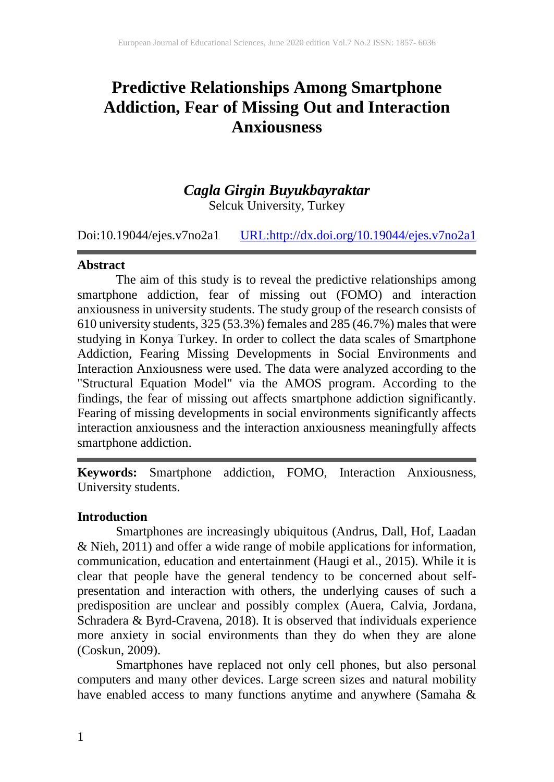# **Predictive Relationships Among Smartphone Addiction, Fear of Missing Out and Interaction Anxiousness**

# *Cagla Girgin Buyukbayraktar* Selcuk University, Turkey

Doi:10.19044/ejes.v7no2a1 [URL:http://dx.doi.org/10.19044/ejes.v7no2a1](http://dx.doi.org/10.19044/ejes.v7no2a1)

#### **Abstract**

The aim of this study is to reveal the predictive relationships among smartphone addiction, fear of missing out (FOMO) and interaction anxiousness in university students. The study group of the research consists of 610 university students, 325 (53.3%) females and 285 (46.7%) males that were studying in Konya Turkey. In order to collect the data scales of Smartphone Addiction, Fearing Missing Developments in Social Environments and Interaction Anxiousness were used. The data were analyzed according to the "Structural Equation Model" via the AMOS program. According to the findings, the fear of missing out affects smartphone addiction significantly. Fearing of missing developments in social environments significantly affects interaction anxiousness and the interaction anxiousness meaningfully affects smartphone addiction.

**Keywords:** Smartphone addiction, FOMO, Interaction Anxiousness, University students.

#### **Introduction**

Smartphones are increasingly ubiquitous (Andrus, Dall, Hof, Laadan & Nieh, 2011) and offer a wide range of mobile applications for information, communication, education and entertainment (Haugi et al., 2015). While it is clear that people have the general tendency to be concerned about selfpresentation and interaction with others, the underlying causes of such a predisposition are unclear and possibly complex (Auera, Calvia, Jordana, Schradera & Byrd-Cravena, 2018). It is observed that individuals experience more anxiety in social environments than they do when they are alone (Coskun, 2009).

Smartphones have replaced not only cell phones, but also personal computers and many other devices. Large screen sizes and natural mobility have enabled access to many functions anytime and anywhere (Samaha &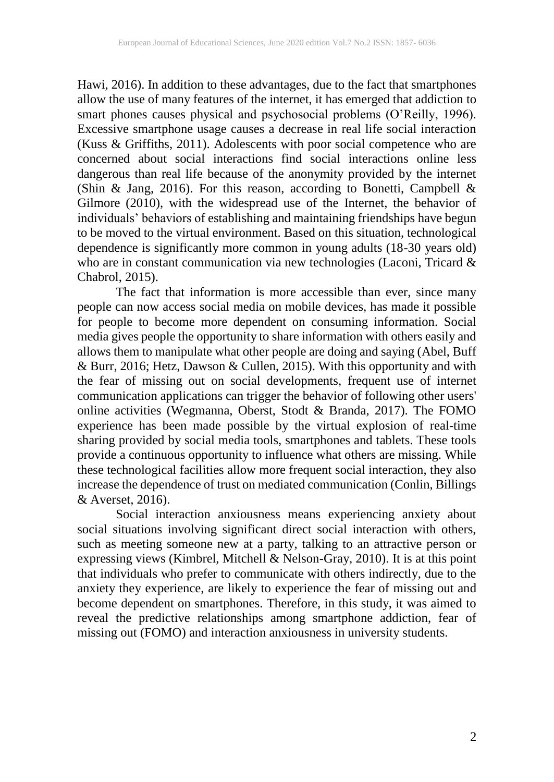Hawi, 2016). In addition to these advantages, due to the fact that smartphones allow the use of many features of the internet, it has emerged that addiction to smart phones causes physical and psychosocial problems (O'Reilly, 1996). Excessive smartphone usage causes a decrease in real life social interaction (Kuss & Griffiths, 2011). Adolescents with poor social competence who are concerned about social interactions find social interactions online less dangerous than real life because of the anonymity provided by the internet (Shin & Jang, 2016). For this reason, according to Bonetti, Campbell & Gilmore (2010), with the widespread use of the Internet, the behavior of individuals' behaviors of establishing and maintaining friendships have begun to be moved to the virtual environment. Based on this situation, technological dependence is significantly more common in young adults (18-30 years old) who are in constant communication via new technologies (Laconi, Tricard  $\&$ Chabrol, 2015).

The fact that information is more accessible than ever, since many people can now access social media on mobile devices, has made it possible for people to become more dependent on consuming information. Social media gives people the opportunity to share information with others easily and allows them to manipulate what other people are doing and saying (Abel, Buff & Burr, 2016; Hetz, Dawson & Cullen, 2015). With this opportunity and with the fear of missing out on social developments, frequent use of internet communication applications can trigger the behavior of following other users' online activities (Wegmanna, Oberst, Stodt & Branda, 2017). The FOMO experience has been made possible by the virtual explosion of real-time sharing provided by social media tools, smartphones and tablets. These tools provide a continuous opportunity to influence what others are missing. While these technological facilities allow more frequent social interaction, they also increase the dependence of trust on mediated communication (Conlin, Billings & Averset, 2016).

Social interaction anxiousness means experiencing anxiety about social situations involving significant direct social interaction with others, such as meeting someone new at a party, talking to an attractive person or expressing views (Kimbrel, Mitchell & Nelson-Gray, 2010). It is at this point that individuals who prefer to communicate with others indirectly, due to the anxiety they experience, are likely to experience the fear of missing out and become dependent on smartphones. Therefore, in this study, it was aimed to reveal the predictive relationships among smartphone addiction, fear of missing out (FOMO) and interaction anxiousness in university students.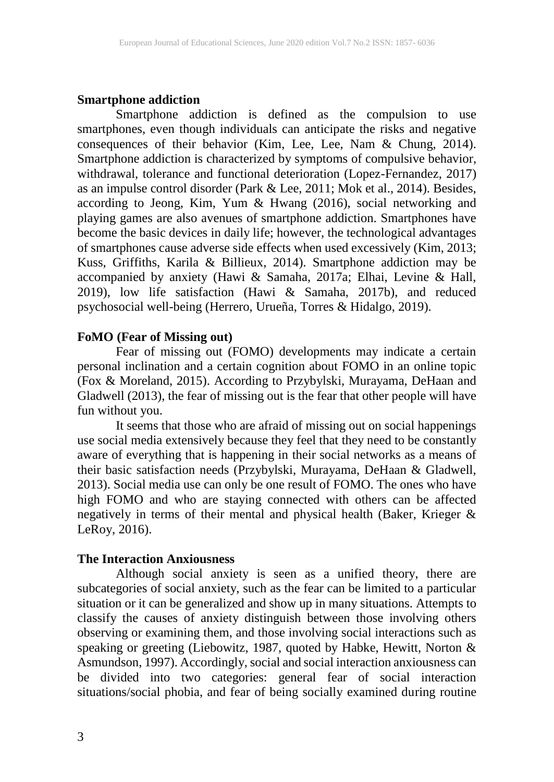#### **Smartphone addiction**

Smartphone addiction is defined as the compulsion to use smartphones, even though individuals can anticipate the risks and negative consequences of their behavior (Kim, Lee, Lee, Nam & Chung, 2014). Smartphone addiction is characterized by symptoms of compulsive behavior, withdrawal, tolerance and functional deterioration (Lopez-Fernandez, 2017) as an impulse control disorder (Park & Lee, 2011; Mok et al., 2014). Besides, according to Jeong, Kim, Yum & Hwang (2016), social networking and playing games are also avenues of smartphone addiction. Smartphones have become the basic devices in daily life; however, the technological advantages of smartphones cause adverse side effects when used excessively (Kim, 2013; Kuss, Griffiths, Karila & Billieux, 2014). Smartphone addiction may be accompanied by anxiety (Hawi & Samaha, 2017a; Elhai, Levine & Hall, 2019), low life satisfaction (Hawi & Samaha, 2017b), and reduced psychosocial well-being (Herrero, Urueña, Torres & Hidalgo, 2019).

#### **FoMO (Fear of Missing out)**

Fear of missing out (FOMO) developments may indicate a certain personal inclination and a certain cognition about FOMO in an online topic (Fox & Moreland, 2015). According to Przybylski, Murayama, DeHaan and Gladwell (2013), the fear of missing out is the fear that other people will have fun without you.

It seems that those who are afraid of missing out on social happenings use social media extensively because they feel that they need to be constantly aware of everything that is happening in their social networks as a means of their basic satisfaction needs (Przybylski, Murayama, DeHaan & Gladwell, 2013). Social media use can only be one result of FOMO. The ones who have high FOMO and who are staying connected with others can be affected negatively in terms of their mental and physical health (Baker, Krieger & LeRoy, 2016).

#### **The Interaction Anxiousness**

Although social anxiety is seen as a unified theory, there are subcategories of social anxiety, such as the fear can be limited to a particular situation or it can be generalized and show up in many situations. Attempts to classify the causes of anxiety distinguish between those involving others observing or examining them, and those involving social interactions such as speaking or greeting (Liebowitz, 1987, quoted by Habke, Hewitt, Norton & Asmundson, 1997). Accordingly, social and social interaction anxiousness can be divided into two categories: general fear of social interaction situations/social phobia, and fear of being socially examined during routine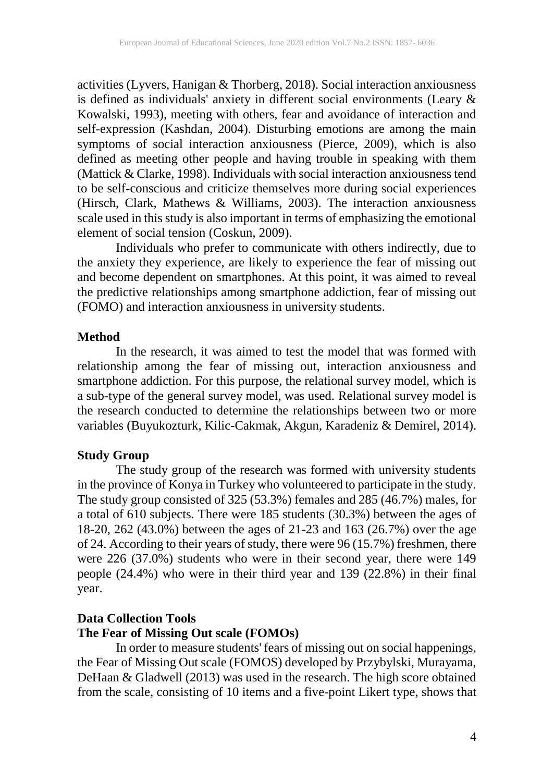activities (Lyvers, Hanigan & Thorberg, 2018). Social interaction anxiousness is defined as individuals' anxiety in different social environments (Leary & Kowalski, 1993), meeting with others, fear and avoidance of interaction and self-expression (Kashdan, 2004). Disturbing emotions are among the main symptoms of social interaction anxiousness (Pierce, 2009), which is also defined as meeting other people and having trouble in speaking with them (Mattick & Clarke, 1998). Individuals with social interaction anxiousness tend to be self-conscious and criticize themselves more during social experiences (Hirsch, Clark, Mathews & Williams, 2003). The interaction anxiousness scale used in this study is also important in terms of emphasizing the emotional element of social tension (Coskun, 2009).

Individuals who prefer to communicate with others indirectly, due to the anxiety they experience, are likely to experience the fear of missing out and become dependent on smartphones. At this point, it was aimed to reveal the predictive relationships among smartphone addiction, fear of missing out (FOMO) and interaction anxiousness in university students.

## **Method**

In the research, it was aimed to test the model that was formed with relationship among the fear of missing out, interaction anxiousness and smartphone addiction. For this purpose, the relational survey model, which is a sub-type of the general survey model, was used. Relational survey model is the research conducted to determine the relationships between two or more variables (Buyukozturk, Kilic-Cakmak, Akgun, Karadeniz & Demirel, 2014).

## **Study Group**

The study group of the research was formed with university students in the province of Konya in Turkey who volunteered to participate in the study. The study group consisted of 325 (53.3%) females and 285 (46.7%) males, for a total of 610 subjects. There were 185 students (30.3%) between the ages of 18-20, 262 (43.0%) between the ages of 21-23 and 163 (26.7%) over the age of 24. According to their years of study, there were 96 (15.7%) freshmen, there were 226 (37.0%) students who were in their second year, there were 149 people (24.4%) who were in their third year and 139 (22.8%) in their final year.

## **Data Collection Tools The Fear of Missing Out scale (FOMOs)**

In order to measure students' fears of missing out on social happenings, the Fear of Missing Out scale (FOMOS) developed by Przybylski, Murayama, DeHaan & Gladwell (2013) was used in the research. The high score obtained from the scale, consisting of 10 items and a five-point Likert type, shows that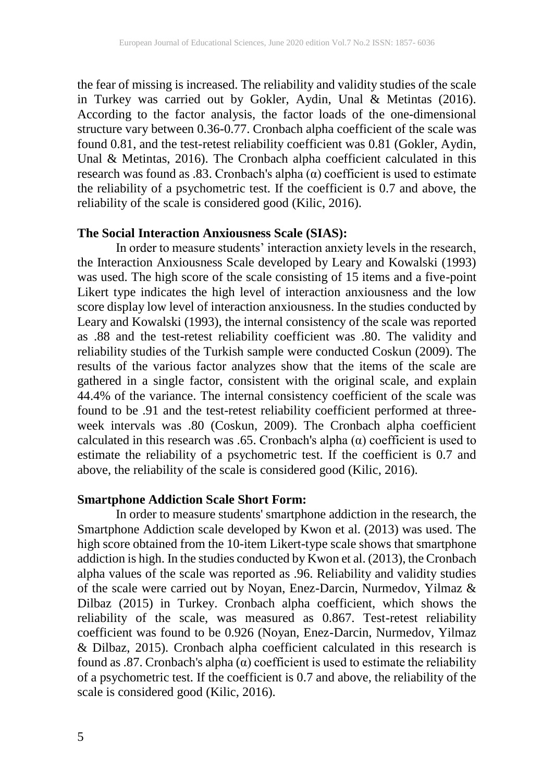the fear of missing is increased. The reliability and validity studies of the scale in Turkey was carried out by Gokler, Aydin, Unal & Metintas (2016). According to the factor analysis, the factor loads of the one-dimensional structure vary between 0.36-0.77. Cronbach alpha coefficient of the scale was found 0.81, and the test-retest reliability coefficient was 0.81 (Gokler, Aydin, Unal & Metintas, 2016). The Cronbach alpha coefficient calculated in this research was found as  $.83$ . Cronbach's alpha ( $\alpha$ ) coefficient is used to estimate the reliability of a psychometric test. If the coefficient is 0.7 and above, the reliability of the scale is considered good (Kilic, 2016).

#### **The Social Interaction Anxiousness Scale (SIAS):**

In order to measure students' interaction anxiety levels in the research, the Interaction Anxiousness Scale developed by Leary and Kowalski (1993) was used. The high score of the scale consisting of 15 items and a five-point Likert type indicates the high level of interaction anxiousness and the low score display low level of interaction anxiousness. In the studies conducted by Leary and Kowalski (1993), the internal consistency of the scale was reported as .88 and the test-retest reliability coefficient was .80. The validity and reliability studies of the Turkish sample were conducted Coskun (2009). The results of the various factor analyzes show that the items of the scale are gathered in a single factor, consistent with the original scale, and explain 44.4% of the variance. The internal consistency coefficient of the scale was found to be .91 and the test-retest reliability coefficient performed at threeweek intervals was .80 (Coskun, 2009). The Cronbach alpha coefficient calculated in this research was .65. Cronbach's alpha  $(\alpha)$  coefficient is used to estimate the reliability of a psychometric test. If the coefficient is 0.7 and above, the reliability of the scale is considered good (Kilic, 2016).

#### **Smartphone Addiction Scale Short Form:**

In order to measure students' smartphone addiction in the research, the Smartphone Addiction scale developed by Kwon et al. (2013) was used. The high score obtained from the 10-item Likert-type scale shows that smartphone addiction is high. In the studies conducted by Kwon et al. (2013), the Cronbach alpha values of the scale was reported as .96. Reliability and validity studies of the scale were carried out by Noyan, Enez-Darcin, Nurmedov, Yilmaz & Dilbaz (2015) in Turkey. Cronbach alpha coefficient, which shows the reliability of the scale, was measured as 0.867. Test-retest reliability coefficient was found to be 0.926 (Noyan, Enez-Darcin, Nurmedov, Yilmaz & Dilbaz, 2015). Cronbach alpha coefficient calculated in this research is found as .87. Cronbach's alpha  $\alpha$ ) coefficient is used to estimate the reliability of a psychometric test. If the coefficient is 0.7 and above, the reliability of the scale is considered good (Kilic, 2016).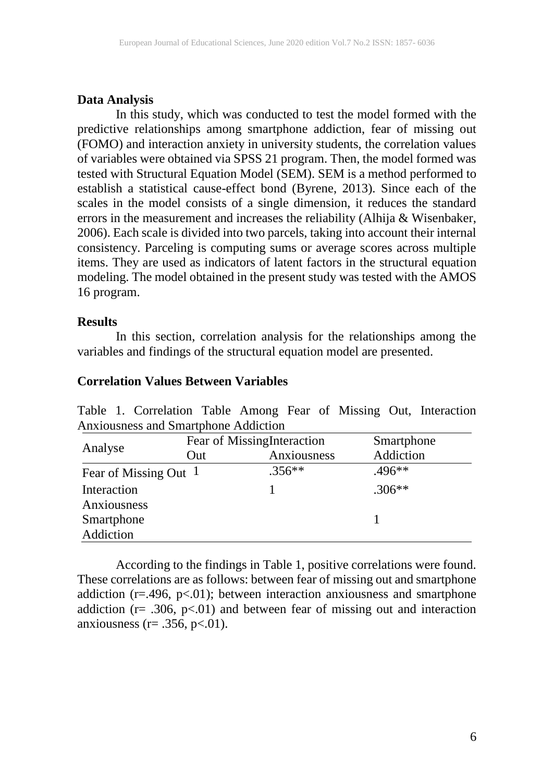## **Data Analysis**

In this study, which was conducted to test the model formed with the predictive relationships among smartphone addiction, fear of missing out (FOMO) and interaction anxiety in university students, the correlation values of variables were obtained via SPSS 21 program. Then, the model formed was tested with Structural Equation Model (SEM). SEM is a method performed to establish a statistical cause-effect bond (Byrene, 2013). Since each of the scales in the model consists of a single dimension, it reduces the standard errors in the measurement and increases the reliability (Alhija & Wisenbaker, 2006). Each scale is divided into two parcels, taking into account their internal consistency. Parceling is computing sums or average scores across multiple items. They are used as indicators of latent factors in the structural equation modeling. The model obtained in the present study was tested with the AMOS 16 program.

## **Results**

In this section, correlation analysis for the relationships among the variables and findings of the structural equation model are presented.

## **Correlation Values Between Variables**

| Allafousitess and Stilariphone Addiction |                             |             |            |  |  |  |  |
|------------------------------------------|-----------------------------|-------------|------------|--|--|--|--|
| Analyse                                  | Fear of Missing Interaction |             | Smartphone |  |  |  |  |
|                                          | Out                         | Anxiousness | Addiction  |  |  |  |  |
| Fear of Missing Out 1                    |                             | $.356**$    | $.496**$   |  |  |  |  |
| Interaction                              |                             |             | $.306**$   |  |  |  |  |
| Anxiousness                              |                             |             |            |  |  |  |  |
| Smartphone                               |                             |             |            |  |  |  |  |
| Addiction                                |                             |             |            |  |  |  |  |

Table 1. Correlation Table Among Fear of Missing Out, Interaction Anxiousness and Smartphone Addiction

According to the findings in Table 1, positive correlations were found. These correlations are as follows: between fear of missing out and smartphone addiction  $(r=496, p<01)$ ; between interaction anxiousness and smartphone addiction ( $r = .306$ ,  $p < .01$ ) and between fear of missing out and interaction anxiousness ( $r = .356$ ,  $p < .01$ ).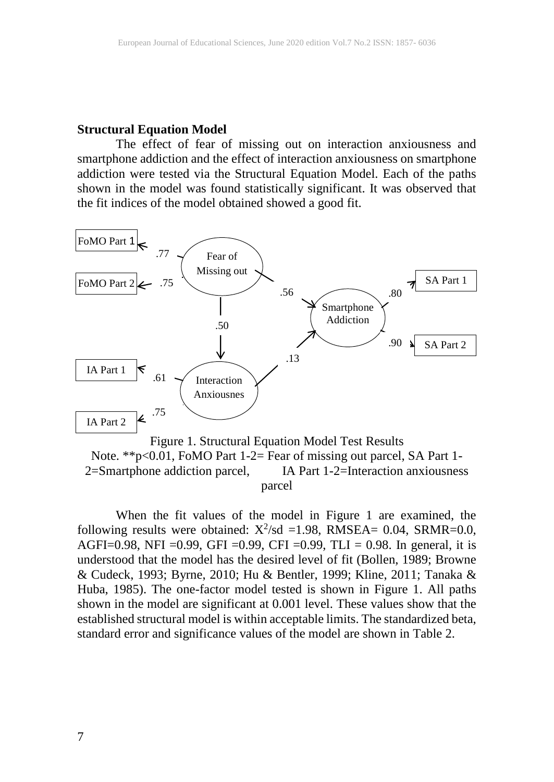#### **Structural Equation Model**

The effect of fear of missing out on interaction anxiousness and smartphone addiction and the effect of interaction anxiousness on smartphone addiction were tested via the Structural Equation Model. Each of the paths shown in the model was found statistically significant. It was observed that the fit indices of the model obtained showed a good fit.



Figure 1. Structural Equation Model Test Results Note. \*\*p<0.01, FoMO Part 1-2= Fear of missing out parcel, SA Part 1-2=Smartphone addiction parcel, IA Part 1-2=Interaction anxiousness parcel

When the fit values of the model in Figure 1 are examined, the following results were obtained:  $X^2$ /sd =1.98, RMSEA= 0.04, SRMR=0.0, AGFI=0.98, NFI =0.99, GFI =0.99, CFI =0.99, TLI = 0.98. In general, it is understood that the model has the desired level of fit (Bollen, 1989; Browne & Cudeck, 1993; Byrne, 2010; Hu & Bentler, 1999; Kline, 2011; Tanaka & Huba, 1985). The one-factor model tested is shown in Figure 1. All paths shown in the model are significant at 0.001 level. These values show that the established structural model is within acceptable limits. The standardized beta, standard error and significance values of the model are shown in Table 2.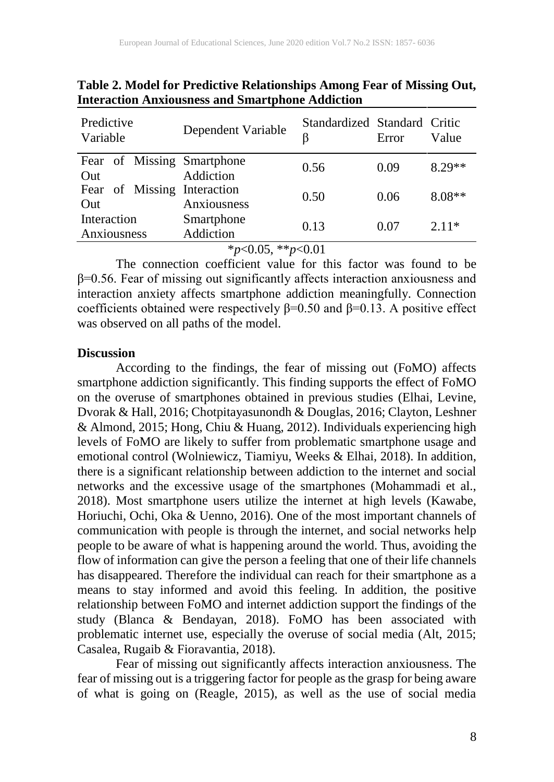| Predictive<br>Variable             | Dependent Variable      | Standardized Standard Critic<br>β | Error | Value    |
|------------------------------------|-------------------------|-----------------------------------|-------|----------|
| Fear of Missing Smartphone<br>Out  | Addiction               | 0.56                              | 0.09  | $8.29**$ |
| Fear of Missing Interaction<br>Out | Anxiousness             | 0.50                              | 0.06  | $8.08**$ |
| Interaction<br>Anxiousness         | Smartphone<br>Addiction | 0.13                              | 0.07  | $2.11*$  |
|                                    |                         | .                                 |       |          |

**Table 2. Model for Predictive Relationships Among Fear of Missing Out, Interaction Anxiousness and Smartphone Addiction**

\**p*<0.05, \*\**p*<0.01

The connection coefficient value for this factor was found to be β=0.56. Fear of missing out significantly affects interaction anxiousness and interaction anxiety affects smartphone addiction meaningfully. Connection coefficients obtained were respectively  $\beta$ =0.50 and  $\beta$ =0.13. A positive effect was observed on all paths of the model.

#### **Discussion**

According to the findings, the fear of missing out (FoMO) affects smartphone addiction significantly. This finding supports the effect of FoMO on the overuse of smartphones obtained in previous studies (Elhai, Levine, Dvorak & Hall, 2016; Chotpitayasunondh & Douglas, 2016; Clayton, Leshner & Almond, 2015; Hong, Chiu & Huang, 2012). Individuals experiencing high levels of FoMO are likely to suffer from problematic smartphone usage and emotional control (Wolniewicz, Tiamiyu, Weeks & Elhai, 2018). In addition, there is a significant relationship between addiction to the internet and social networks and the excessive usage of the smartphones (Mohammadi et al., 2018). Most smartphone users utilize the internet at high levels (Kawabe, Horiuchi, Ochi, Oka & Uenno, 2016). One of the most important channels of communication with people is through the internet, and social networks help people to be aware of what is happening around the world. Thus, avoiding the flow of information can give the person a feeling that one of their life channels has disappeared. Therefore the individual can reach for their smartphone as a means to stay informed and avoid this feeling. In addition, the positive relationship between FoMO and internet addiction support the findings of the study (Blanca & Bendayan, 2018). FoMO has been associated with problematic internet use, especially the overuse of social media (Alt, 2015; Casalea, Rugaib & Fioravantia, 2018).

Fear of missing out significantly affects interaction anxiousness. The fear of missing out is a triggering factor for people as the grasp for being aware of what is going on (Reagle, 2015), as well as the use of social media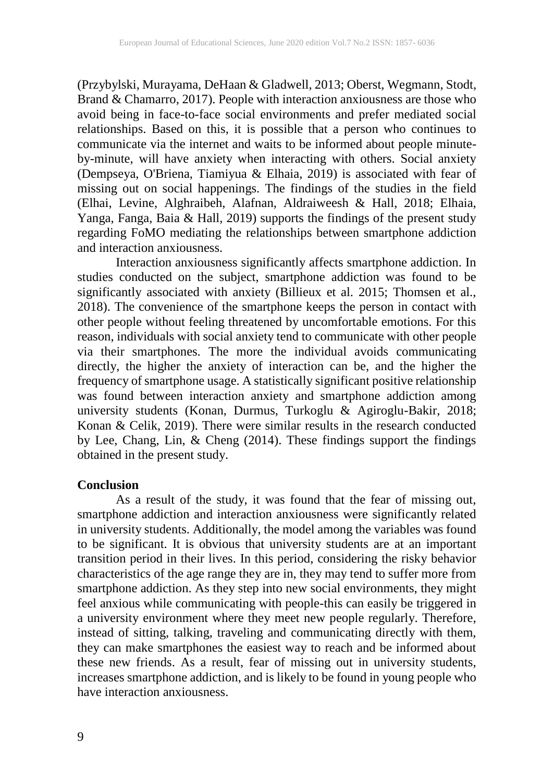(Przybylski, Murayama, DeHaan & Gladwell, 2013; Oberst, Wegmann, Stodt, Brand & Chamarro, 2017). People with interaction anxiousness are those who avoid being in face-to-face social environments and prefer mediated social relationships. Based on this, it is possible that a person who continues to communicate via the internet and waits to be informed about people minuteby-minute, will have anxiety when interacting with others. Social anxiety (Dempseya, O'Briena, Tiamiyua & Elhaia, 2019) is associated with fear of missing out on social happenings. The findings of the studies in the field (Elhai, Levine, Alghraibeh, Alafnan, Aldraiweesh & Hall, 2018; Elhaia, Yanga, Fanga, Baia & Hall, 2019) supports the findings of the present study regarding FoMO mediating the relationships between smartphone addiction and interaction anxiousness.

Interaction anxiousness significantly affects smartphone addiction. In studies conducted on the subject, smartphone addiction was found to be significantly associated with anxiety (Billieux et al. 2015; Thomsen et al., 2018). The convenience of the smartphone keeps the person in contact with other people without feeling threatened by uncomfortable emotions. For this reason, individuals with social anxiety tend to communicate with other people via their smartphones. The more the individual avoids communicating directly, the higher the anxiety of interaction can be, and the higher the frequency of smartphone usage. A statistically significant positive relationship was found between interaction anxiety and smartphone addiction among university students (Konan, Durmus, Turkoglu & Agiroglu-Bakir, 2018; Konan & Celik, 2019). There were similar results in the research conducted by Lee, Chang, Lin, & Cheng (2014). These findings support the findings obtained in the present study.

#### **Conclusion**

As a result of the study, it was found that the fear of missing out, smartphone addiction and interaction anxiousness were significantly related in university students. Additionally, the model among the variables was found to be significant. It is obvious that university students are at an important transition period in their lives. In this period, considering the risky behavior characteristics of the age range they are in, they may tend to suffer more from smartphone addiction. As they step into new social environments, they might feel anxious while communicating with people-this can easily be triggered in a university environment where they meet new people regularly. Therefore, instead of sitting, talking, traveling and communicating directly with them, they can make smartphones the easiest way to reach and be informed about these new friends. As a result, fear of missing out in university students, increases smartphone addiction, and is likely to be found in young people who have interaction anxiousness.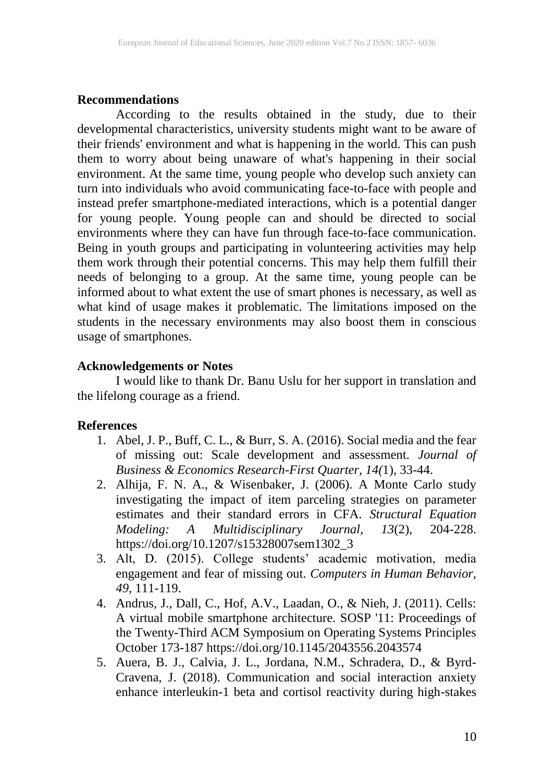#### **Recommendations**

According to the results obtained in the study, due to their developmental characteristics, university students might want to be aware of their friends' environment and what is happening in the world. This can push them to worry about being unaware of what's happening in their social environment. At the same time, young people who develop such anxiety can turn into individuals who avoid communicating face-to-face with people and instead prefer smartphone-mediated interactions, which is a potential danger for young people. Young people can and should be directed to social environments where they can have fun through face-to-face communication. Being in youth groups and participating in volunteering activities may help them work through their potential concerns. This may help them fulfill their needs of belonging to a group. At the same time, young people can be informed about to what extent the use of smart phones is necessary, as well as what kind of usage makes it problematic. The limitations imposed on the students in the necessary environments may also boost them in conscious usage of smartphones.

## **Acknowledgements or Notes**

I would like to thank Dr. Banu Uslu for her support in translation and the lifelong courage as a friend.

## **References**

- 1. Abel, J. P., Buff, C. L., & Burr, S. A. (2016). Social media and the fear of missing out: Scale development and assessment. *Journal of Business & Economics Research-First Quarter, 14(*1), 33-44.
- 2. Alhija, F. N. A., & Wisenbaker, J. (2006). A Monte Carlo study investigating the impact of item parceling strategies on parameter estimates and their standard errors in CFA. *Structural Equation Modeling: A Multidisciplinary Journal, 13*(2), 204-228. https://doi.org/10.1207/s15328007sem1302\_3
- 3. Alt, D. (2015). College students' academic motivation, media engagement and fear of missing out. *Computers in Human Behavior, 49*, 111-119.
- 4. Andrus, J., Dall, C., Hof, A.V., Laadan, O., & Nieh, J. (2011). Cells: A virtual mobile smartphone architecture. SOSP '11: Proceedings of the Twenty-Third ACM Symposium on Operating Systems Principles October 173-187 https://doi.org/10.1145/2043556.2043574
- 5. Auera, B. J., Calvia, J. L., Jordana, N.M., Schradera, D., & Byrd-Cravena, J. (2018). Communication and social interaction anxiety enhance interleukin-1 beta and cortisol reactivity during high-stakes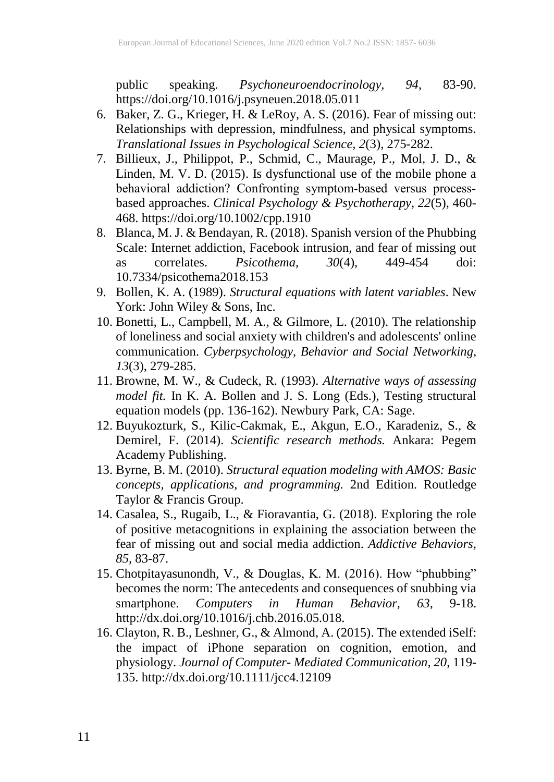public speaking. *Psychoneuroendocrinology, 94*, 83-90. https://doi.org/10.1016/j.psyneuen.2018.05.011

- 6. Baker, Z. G., Krieger, H. & LeRoy, A. S. (2016). Fear of missing out: Relationships with depression, mindfulness, and physical symptoms. *Translational Issues in Psychological Science, 2*(3), 275-282.
- 7. Billieux, J., Philippot, P., Schmid, C., Maurage, P., Mol, J. D., & Linden, M. V. D. (2015). Is dysfunctional use of the mobile phone a behavioral addiction? Confronting symptom‐based versus process‐ based approaches. *Clinical Psychology & Psychotherapy, 22*(5), 460- 468.<https://doi.org/10.1002/cpp.1910>
- 8. Blanca, M. J. & Bendayan, R. (2018). Spanish version of the Phubbing Scale: Internet addiction, Facebook intrusion, and fear of missing out as correlates. *Psicothema, 30*(4), 449-454 doi: 10.7334/psicothema2018.153
- 9. Bollen, K. A. (1989). *Structural equations with latent variables*. New York: John Wiley & Sons, Inc.
- 10. Bonetti, L., Campbell, M. A., & Gilmore, L. (2010). The relationship of loneliness and social anxiety with children's and adolescents' online communication. *Cyberpsychology, Behavior and Social Networking, 13*(3), 279-285.
- 11. Browne, M. W., & Cudeck, R. (1993). *Alternative ways of assessing model fit.* In K. A. Bollen and J. S. Long (Eds.), Testing structural equation models (pp. 136-162). Newbury Park, CA: Sage.
- 12. Buyukozturk, S., Kilic-Cakmak, E., Akgun, E.O., Karadeniz, S., & Demirel, F. (2014). *Scientific research methods.* Ankara: Pegem Academy Publishing.
- 13. Byrne, B. M. (2010). *Structural equation modeling with AMOS: Basic concepts, applications, and programming.* 2nd Edition. Routledge Taylor & Francis Group.
- 14. Casalea, S., Rugaib, L., & Fioravantia, G. (2018). Exploring the role of positive metacognitions in explaining the association between the fear of missing out and social media addiction. *Addictive Behaviors, 85*, 83-87.
- 15. Chotpitayasunondh, V., & Douglas, K. M. (2016). How "phubbing" becomes the norm: The antecedents and consequences of snubbing via smartphone. *Computers in Human Behavior, 63*, 9-18. http://dx.doi.org/10.1016/j.chb.2016.05.018.
- 16. Clayton, R. B., Leshner, G., & Almond, A. (2015). The extended iSelf: the impact of iPhone separation on cognition, emotion, and physiology. *Journal of Computer- Mediated Communication, 20*, 119- 135. http://dx.doi.org/10.1111/jcc4.12109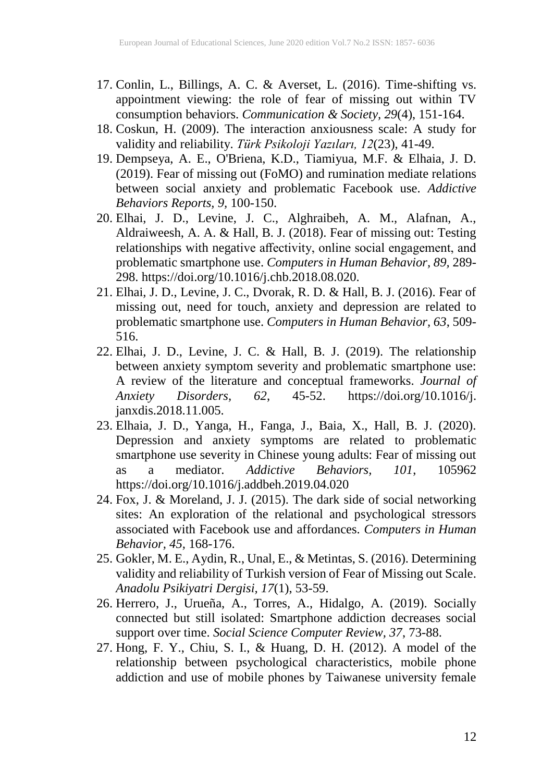- 17. Conlin, L., Billings, A. C. & Averset, L. (2016). Time-shifting vs. appointment viewing: the role of fear of missing out within TV consumption behaviors. *Communication & Society, 29*(4), 151-164.
- 18. Coskun, H. (2009). The interaction anxiousness scale: A study for validity and reliability. *Türk Psikoloji Yazıları, 12*(23), 41-49.
- 19. Dempseya, A. E., O'Briena, K.D., Tiamiyua, M.F. & Elhaia, J. D. (2019). Fear of missing out (FoMO) and rumination mediate relations between social anxiety and problematic Facebook use. *Addictive Behaviors Reports, 9,* 100-150.
- 20. Elhai, J. D., Levine, J. C., Alghraibeh, A. M., Alafnan, A., Aldraiweesh, A. A. & Hall, B. J. (2018). Fear of missing out: Testing relationships with negative affectivity, online social engagement, and problematic smartphone use. *Computers in Human Behavior, 89,* 289- 298. https://doi.org/10.1016/j.chb.2018.08.020.
- 21. Elhai, J. D., Levine, J. C., Dvorak, R. D. & Hall, B. J. (2016). Fear of missing out, need for touch, anxiety and depression are related to problematic smartphone use. *Computers in Human Behavior, 63*, 509- 516.
- 22. Elhai, J. D., Levine, J. C. & Hall, B. J. (2019). The relationship between anxiety symptom severity and problematic smartphone use: A review of the literature and conceptual frameworks. *Journal of Anxiety Disorders*, 62, 45-52. https://doi.org/10.1016/j. *Anxiety Disorders, 62*, 45-52. https://doi.org/10.1016/j. janxdis.2018.11.005.
- 23. Elhaia, J. D., Yanga, H., Fanga, J., Baia, X., Hall, B. J. (2020). Depression and anxiety symptoms are related to problematic smartphone use severity in Chinese young adults: Fear of missing out as a mediator. *Addictive Behaviors, 101*, 105962 https://doi.org/10.1016/j.addbeh.2019.04.020
- 24. Fox, J. & Moreland, J. J. (2015). The dark side of social networking sites: An exploration of the relational and psychological stressors associated with Facebook use and affordances. *Computers in Human Behavior, 45,* 168-176.
- 25. Gokler, M. E., Aydin, R., Unal, E., & Metintas, S. (2016). Determining validity and reliability of Turkish version of Fear of Missing out Scale. *Anadolu Psikiyatri Dergisi, 17*(1), 53-59.
- 26. Herrero, J., Urueña, A., Torres, A., Hidalgo, A. (2019). Socially connected but still isolated: Smartphone addiction decreases social support over time. *Social Science Computer Review, 37*, 73-88.
- 27. Hong, F. Y., Chiu, S. I., & Huang, D. H. (2012). A model of the relationship between psychological characteristics, mobile phone addiction and use of mobile phones by Taiwanese university female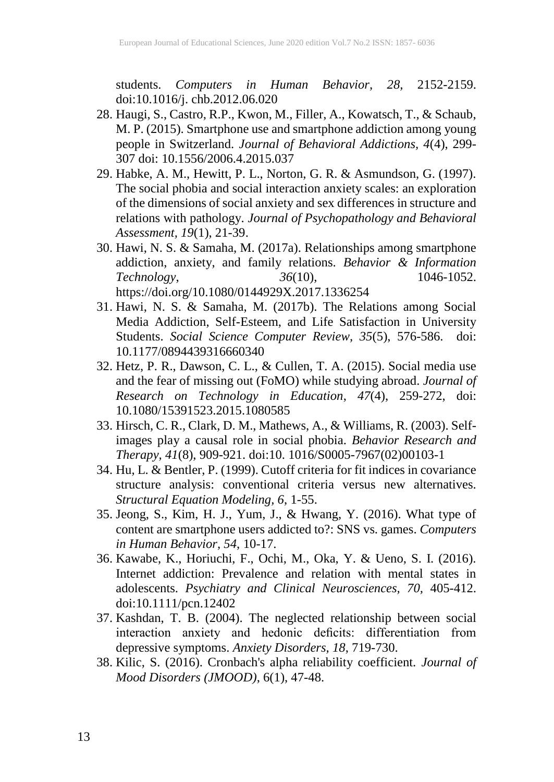students. *Computers in Human Behavior, 28,* 2152-2159. doi:10.1016/j. chb.2012.06.020

- 28. Haugi, S., Castro, R.P., Kwon, M., Filler, A., Kowatsch, T., & Schaub, M. P. (2015). Smartphone use and smartphone addiction among young people in Switzerland. *Journal of Behavioral Addictions, 4*(4), 299- 307 doi: 10.1556/2006.4.2015.037
- 29. Habke, A. M., Hewitt, P. L., Norton, G. R. & Asmundson, G. (1997). The social phobia and social interaction anxiety scales: an exploration of the dimensions of social anxiety and sex differences in structure and relations with pathology. *Journal of Psychopathology and Behavioral Assessment, 19*(1), 21-39.
- 30. Hawi, N. S. & Samaha, M. (2017a). Relationships among smartphone addiction, anxiety, and family relations. *Behavior & Information*<br>Technology,  $36(10)$ ,  $1046-1052$ . *Technology*, *36*(10), 1046-1052. https://doi.org/10.1080/0144929X.2017.1336254
- 31. Hawi, N. S. & Samaha, M. (2017b). The Relations among Social Media Addiction, Self-Esteem, and Life Satisfaction in University Students. *Social Science Computer Review, 35*(5), 576-586. doi: 10.1177/0894439316660340
- 32. Hetz, P. R., Dawson, C. L., & Cullen, T. A. (2015). Social media use and the fear of missing out (FoMO) while studying abroad. *Journal of Research on Technology in Education*, *47*(4), 259-272, doi: 10.1080/15391523.2015.1080585
- 33. Hirsch, C. R., Clark, D. M., Mathews, A., & Williams, R. (2003). Selfimages play a causal role in social phobia. *Behavior Research and Therapy, 41*(8), 909-921. doi:10. 1016/S0005-7967(02)00103-1
- 34. Hu, L. & Bentler, P. (1999). Cutoff criteria for fit indices in covariance structure analysis: conventional criteria versus new alternatives. *Structural Equation Modeling, 6*, 1-55.
- 35. Jeong, S., Kim, H. J., Yum, J., & Hwang, Y. (2016). What type of content are smartphone users addicted to?: SNS vs. games. *Computers in Human Behavior, 54*, 10-17.
- 36. Kawabe, K., Horiuchi, F., Ochi, M., Oka, Y. & Ueno, S. I. (2016). Internet addiction: Prevalence and relation with mental states in adolescents. *Psychiatry and Clinical Neurosciences, 70,* 405-412. doi:10.1111/pcn.12402
- 37. Kashdan, T. B. (2004). The neglected relationship between social interaction anxiety and hedonic deficits: differentiation from depressive symptoms. *Anxiety Disorders, 18*, 719-730.
- 38. Kilic, S. (2016). Cronbach's alpha reliability coefficient. *Journal of Mood Disorders (JMOOD)*, 6(1), 47-48.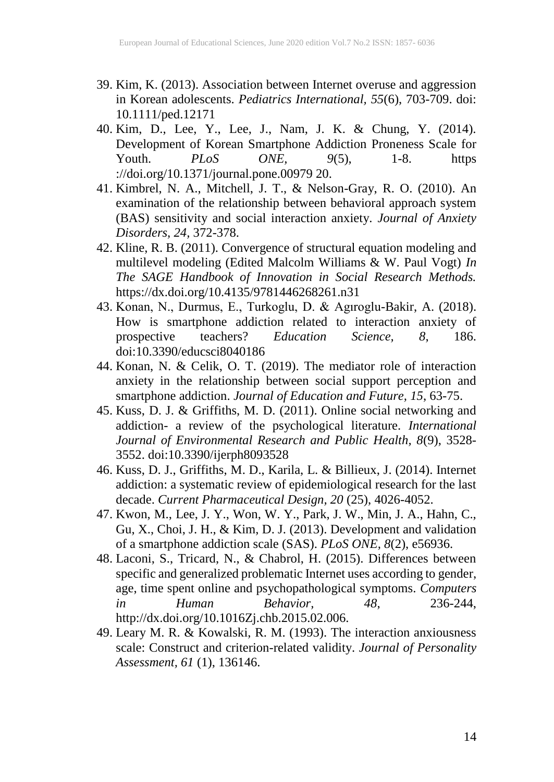- 39. Kim, K. (2013). Association between Internet overuse and aggression in Korean adolescents. *Pediatrics International, 55*(6), 703-709. doi: 10.1111/ped.12171
- 40. Kim, D., Lee, Y., Lee, J., Nam, J. K. & Chung, Y. (2014). Development of Korean Smartphone Addiction Proneness Scale for<br>Youth. PLoS ONE, 9(5), 1-8. https Youth. *PLoS ONE, 9*(5), 1-8. https ://doi.org/10.1371/journal.pone.00979 20.
- 41. Kimbrel, N. A., Mitchell, J. T., & Nelson-Gray, R. O. (2010). An examination of the relationship between behavioral approach system (BAS) sensitivity and social interaction anxiety. *Journal of Anxiety Disorders, 24,* 372-378.
- 42. Kline, R. B. (2011). Convergence of structural equation modeling and multilevel modeling (Edited Malcolm Williams & W. Paul Vogt) *In The SAGE Handbook of Innovation in Social Research Methods.* https://dx.doi.org/10.4135/9781446268261.n31
- 43. Konan, N., Durmus, E., Turkoglu, D. & Agıroglu-Bakir, A. (2018). How is smartphone addiction related to interaction anxiety of prospective teachers? *Education Science, 8*, 186. doi:10.3390/educsci8040186
- 44. Konan, N. & Celik, O. T. (2019). The mediator role of interaction anxiety in the relationship between social support perception and smartphone addiction. *Journal of Education and Future, 15*, 63-75.
- 45. Kuss, D. J. & Griffiths, M. D. (2011). Online social networking and addiction- a review of the psychological literature. *International Journal of Environmental Research and Public Health, 8*(9), 3528- 3552. doi:10.3390/ijerph8093528
- 46. Kuss, D. J., Griffiths, M. D., Karila, L. & Billieux, J. (2014). Internet addiction: a systematic review of epidemiological research for the last decade. *Current Pharmaceutical Design, 20* (25), 4026-4052.
- 47. Kwon, M., Lee, J. Y., Won, W. Y., Park, J. W., Min, J. A., Hahn, C., Gu, X., Choi, J. H., & Kim, D. J. (2013). Development and validation of a smartphone addiction scale (SAS). *PLoS ONE, 8*(2), e56936.
- 48. Laconi, S., Tricard, N., & Chabrol, H. (2015). Differences between specific and generalized problematic Internet uses according to gender, age, time spent online and psychopathological symptoms. *Computers in Human Behavior, 48*, 236-244, http://dx.doi.org/10.1016Zj.chb.2015.02.006.
- 49. Leary M. R. & Kowalski, R. M. (1993). The interaction anxiousness scale: Construct and criterion-related validity. *Journal of Personality Assessment, 61* (1), 136146.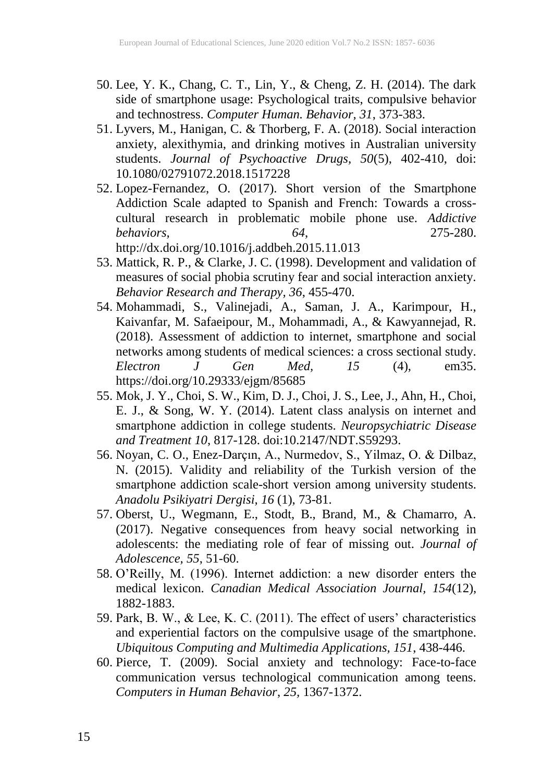- 50. Lee, Y. K., Chang, C. T., Lin, Y., & Cheng, Z. H. (2014). The dark side of smartphone usage: Psychological traits, compulsive behavior and technostress. *Computer Human. Behavior, 31*, 373-383.
- 51. Lyvers, M., Hanigan, C. & Thorberg, F. A. (2018). Social interaction anxiety, alexithymia, and drinking motives in Australian university students. *Journal of Psychoactive Drugs, 50*(5), 402-410, doi: 10.1080/02791072.2018.1517228
- 52. Lopez-Fernandez, O. (2017). Short version of the Smartphone Addiction Scale adapted to Spanish and French: Towards a crosscultural research in problematic mobile phone use. *Addictive behaviors, 64*, 275-280. http://dx.doi.org/10.1016/j.addbeh.2015.11.013
- 53. Mattick, R. P., & Clarke, J. C. (1998). Development and validation of measures of social phobia scrutiny fear and social interaction anxiety. *Behavior Research and Therapy, 36*, 455-470.
- 54. Mohammadi, S., Valinejadi, A., Saman, J. A., Karimpour, H., Kaivanfar, M. Safaeipour, M., Mohammadi, A., & Kawyannejad, R. (2018). Assessment of addiction to internet, smartphone and social networks among students of medical sciences: a cross sectional study. *Electron J Gen Med, 15* (4), em35. https://doi.org/10.29333/ejgm/85685
- 55. Mok, J. Y., Choi, S. W., Kim, D. J., Choi, J. S., Lee, J., Ahn, H., Choi, E. J., & Song, W. Y. (2014). Latent class analysis on internet and smartphone addiction in college students. *Neuropsychiatric Disease and Treatment 10*, 817-128. doi:10.2147/NDT.S59293.
- 56. Noyan, C. O., Enez-Darçın, A., Nurmedov, S., Yilmaz, O. & Dilbaz, N. (2015). Validity and reliability of the Turkish version of the smartphone addiction scale-short version among university students. *Anadolu Psikiyatri Dergisi, 16* (1), 73-81.
- 57. Oberst, U., Wegmann, E., Stodt, B., Brand, M., & Chamarro, A. (2017). Negative consequences from heavy social networking in adolescents: the mediating role of fear of missing out. *Journal of Adolescence, 55*, 51-60.
- 58. O'Reilly, M. (1996). Internet addiction: a new disorder enters the medical lexicon. *Canadian Medical Association Journal, 154*(12), 1882-1883.
- 59. Park, B. W., & Lee, K. C. (2011). The effect of users' characteristics and experiential factors on the compulsive usage of the smartphone. *Ubiquitous Computing and Multimedia Applications, 151*, 438-446.
- 60. Pierce, T. (2009). Social anxiety and technology: Face-to-face communication versus technological communication among teens. *Computers in Human Behavior*, *25,* 1367-1372.